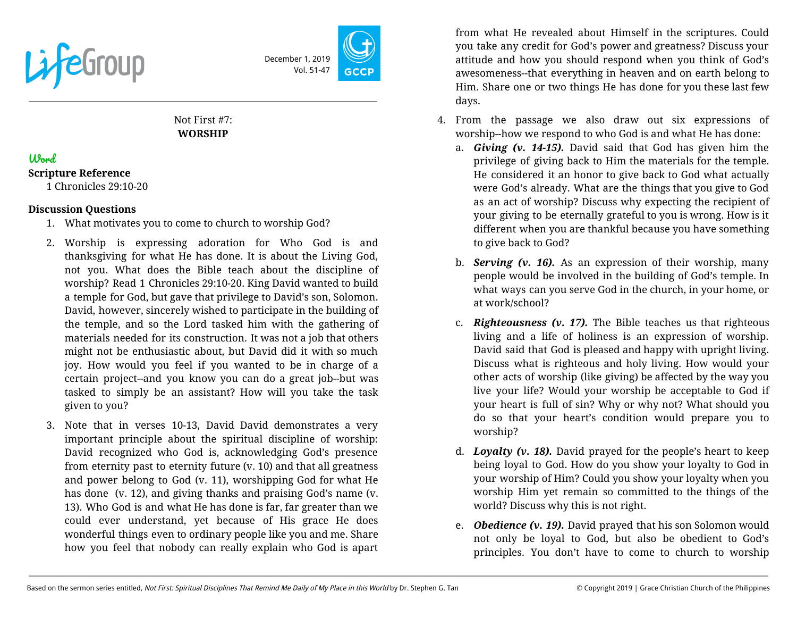

December 1, 2019 Vol. 51-47

# Not First #7: **WORSHIP**

# Word

#### **Scripture Reference**

1 Chronicles 29:10-20

#### **Discussion Questions**

- 1. What motivates you to come to church to worship God?
- 2. Worship is expressing adoration for Who God is and thanksgiving for what He has done. It is about the Living God, not you. What does the Bible teach about the discipline of worship? Read 1 Chronicles 29:10-20. King David wanted to build a temple for God, but gave that privilege to David's son, Solomon. David, however, sincerely wished to participate in the building of the temple, and so the Lord tasked him with the gathering of materials needed for its construction. It was not a job that others might not be enthusiastic about, but David did it with so much joy. How would you feel if you wanted to be in charge of a certain project--and you know you can do a great job--but was tasked to simply be an assistant? How will you take the task given to you?
- 3. Note that in verses 10-13, David David demonstrates a very important principle about the spiritual discipline of worship: David recognized who God is, acknowledging God's presence from eternity past to eternity future (v. 10) and that all greatness and power belong to God (v. 11), worshipping God for what He has done (v. 12), and giving thanks and praising God's name (v. 13). Who God is and what He has done is far, far greater than we could ever understand, yet because of His grace He does wonderful things even to ordinary people like you and me. Share how you feel that nobody can really explain who God is apart

from what He revealed about Himself in the scriptures. Could you take any credit for God's power and greatness? Discuss your attitude and how you should respond when you think of God's awesomeness--that everything in heaven and on earth belong to Him. Share one or two things He has done for you these last few days.

- 4. From the passage we also draw out six expressions of worship--how we respond to who God is and what He has done:
	- a. *Giving (v. 14-15).* David said that God has given him the privilege of giving back to Him the materials for the temple. He considered it an honor to give back to God what actually were God's already. What are the things that you give to God as an act of worship? Discuss why expecting the recipient of your giving to be eternally grateful to you is wrong. How is it different when you are thankful because you have something to give back to God?
	- b. *Serving (v. 16).* As an expression of their worship, many people would be involved in the building of God's temple. In what ways can you serve God in the church, in your home, or at work/school?
	- c. *Righteousness (v. 17).* The Bible teaches us that righteous living and a life of holiness is an expression of worship. David said that God is pleased and happy with upright living. Discuss what is righteous and holy living. How would your other acts of worship (like giving) be affected by the way you live your life? Would your worship be acceptable to God if your heart is full of sin? Why or why not? What should you do so that your heart's condition would prepare you to worship?
	- d. *Loyalty (v. 18).* David prayed for the people's heart to keep being loyal to God. How do you show your loyalty to God in your worship of Him? Could you show your loyalty when you worship Him yet remain so committed to the things of the world? Discuss why this is not right.
	- e. *Obedience (v. 19).* David prayed that his son Solomon would not only be loyal to God, but also be obedient to God's principles. You don't have to come to church to worship